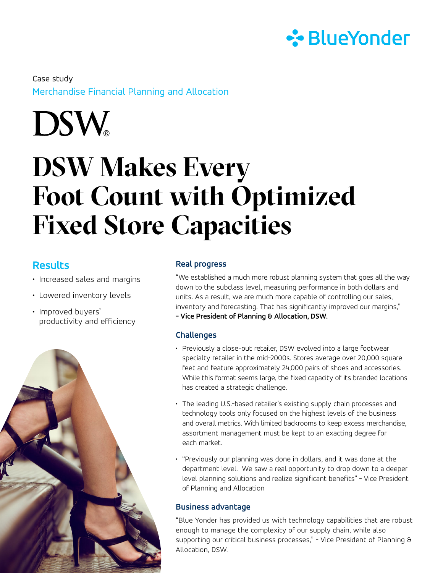

Merchandise Financial Planning and Allocation Case study

**DSW** 

# **DSW Makes Every Foot Count with Optimized Fixed Store Capacities**

## **Results**

- Increased sales and margins
- Lowered inventory levels
- Improved buyers' productivity and efficiency



## **Real progress**

"We established a much more robust planning system that goes all the way down to the subclass level, measuring performance in both dollars and units. As a result, we are much more capable of controlling our sales, inventory and forecasting. That has significantly improved our margins,"

**- Vice President of Planning & Allocation, DSW.**

#### **Challenges**

- Previously a close-out retailer, DSW evolved into a large footwear specialty retailer in the mid-2000s. Stores average over 20,000 square feet and feature approximately 24,000 pairs of shoes and accessories. While this format seems large, the fixed capacity of its branded locations has created a strategic challenge.
- The leading U.S.-based retailer's existing supply chain processes and technology tools only focused on the highest levels of the business and overall metrics. With limited backrooms to keep excess merchandise, assortment management must be kept to an exacting degree for each market.
- "Previously our planning was done in dollars, and it was done at the department level. We saw a real opportunity to drop down to a deeper level planning solutions and realize significant benefits" - Vice President of Planning and Allocation

## **Business advantage**

"Blue Yonder has provided us with technology capabilities that are robust enough to manage the complexity of our supply chain, while also supporting our critical business processes," - Vice President of Planning & Allocation, DSW.